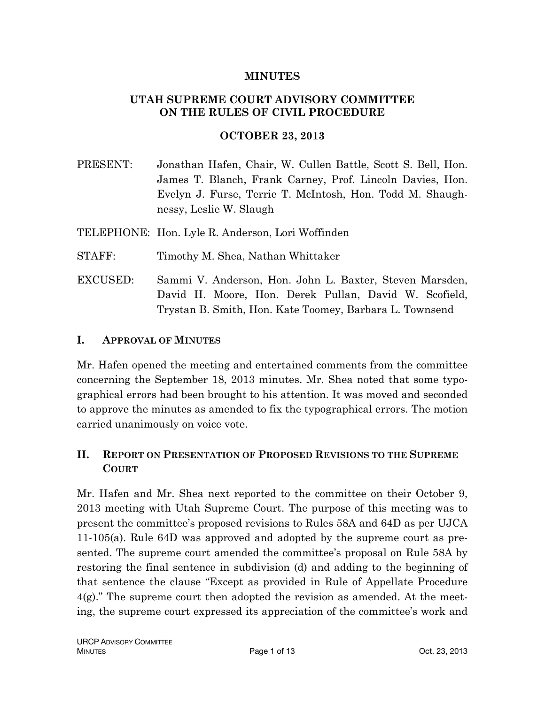#### **MINUTES**

#### **UTAH SUPREME COURT ADVISORY COMMITTEE ON THE RULES OF CIVIL PROCEDURE**

#### **OCTOBER 23, 2013**

PRESENT: Jonathan Hafen, Chair, W. Cullen Battle, Scott S. Bell, Hon. James T. Blanch, Frank Carney, Prof. Lincoln Davies, Hon. Evelyn J. Furse, Terrie T. McIntosh, Hon. Todd M. Shaughnessy, Leslie W. Slaugh

TELEPHONE: Hon. Lyle R. Anderson, Lori Woffinden

- STAFF: Timothy M. Shea, Nathan Whittaker
- EXCUSED: Sammi V. Anderson, Hon. John L. Baxter, Steven Marsden, David H. Moore, Hon. Derek Pullan, David W. Scofield, Trystan B. Smith, Hon. Kate Toomey, Barbara L. Townsend

#### **I. APPROVAL OF MINUTES**

Mr. Hafen opened the meeting and entertained comments from the committee concerning the September 18, 2013 minutes. Mr. Shea noted that some typographical errors had been brought to his attention. It was moved and seconded to approve the minutes as amended to fix the typographical errors. The motion carried unanimously on voice vote.

### **II. REPORT ON PRESENTATION OF PROPOSED REVISIONS TO THE SUPREME COURT**

Mr. Hafen and Mr. Shea next reported to the committee on their October 9, 2013 meeting with Utah Supreme Court. The purpose of this meeting was to present the committee's proposed revisions to Rules 58A and 64D as per UJCA 11-105(a). Rule 64D was approved and adopted by the supreme court as presented. The supreme court amended the committee's proposal on Rule 58A by restoring the final sentence in subdivision (d) and adding to the beginning of that sentence the clause "Except as provided in Rule of Appellate Procedure 4(g)." The supreme court then adopted the revision as amended. At the meeting, the supreme court expressed its appreciation of the committee's work and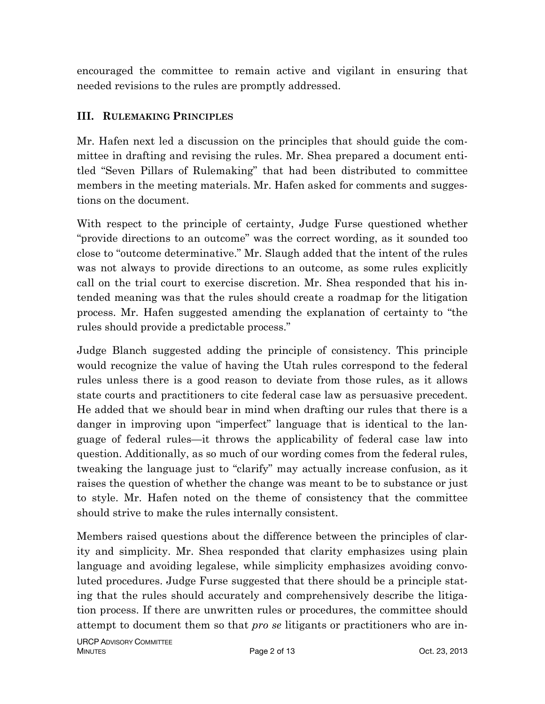encouraged the committee to remain active and vigilant in ensuring that needed revisions to the rules are promptly addressed.

### **III. RULEMAKING PRINCIPLES**

Mr. Hafen next led a discussion on the principles that should guide the committee in drafting and revising the rules. Mr. Shea prepared a document entitled "Seven Pillars of Rulemaking" that had been distributed to committee members in the meeting materials. Mr. Hafen asked for comments and suggestions on the document.

With respect to the principle of certainty, Judge Furse questioned whether "provide directions to an outcome" was the correct wording, as it sounded too close to "outcome determinative." Mr. Slaugh added that the intent of the rules was not always to provide directions to an outcome, as some rules explicitly call on the trial court to exercise discretion. Mr. Shea responded that his intended meaning was that the rules should create a roadmap for the litigation process. Mr. Hafen suggested amending the explanation of certainty to "the rules should provide a predictable process."

Judge Blanch suggested adding the principle of consistency. This principle would recognize the value of having the Utah rules correspond to the federal rules unless there is a good reason to deviate from those rules, as it allows state courts and practitioners to cite federal case law as persuasive precedent. He added that we should bear in mind when drafting our rules that there is a danger in improving upon "imperfect" language that is identical to the language of federal rules—it throws the applicability of federal case law into question. Additionally, as so much of our wording comes from the federal rules, tweaking the language just to "clarify" may actually increase confusion, as it raises the question of whether the change was meant to be to substance or just to style. Mr. Hafen noted on the theme of consistency that the committee should strive to make the rules internally consistent.

Members raised questions about the difference between the principles of clarity and simplicity. Mr. Shea responded that clarity emphasizes using plain language and avoiding legalese, while simplicity emphasizes avoiding convoluted procedures. Judge Furse suggested that there should be a principle stating that the rules should accurately and comprehensively describe the litigation process. If there are unwritten rules or procedures, the committee should attempt to document them so that *pro se* litigants or practitioners who are in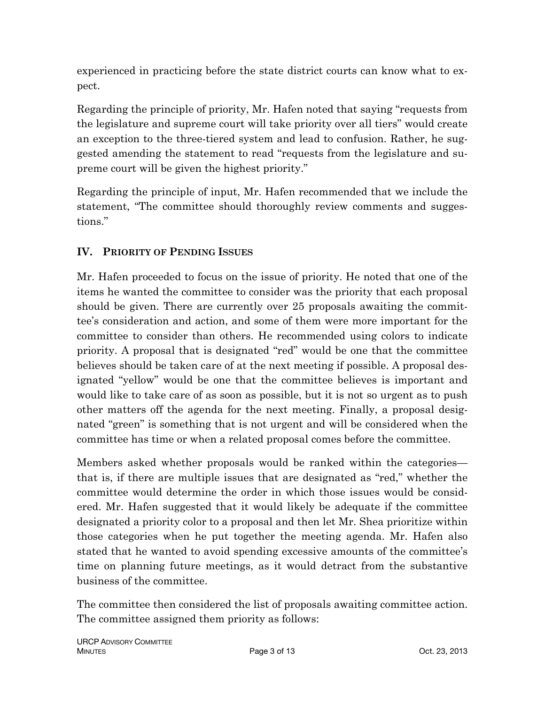experienced in practicing before the state district courts can know what to expect.

Regarding the principle of priority, Mr. Hafen noted that saying "requests from the legislature and supreme court will take priority over all tiers" would create an exception to the three-tiered system and lead to confusion. Rather, he suggested amending the statement to read "requests from the legislature and supreme court will be given the highest priority."

Regarding the principle of input, Mr. Hafen recommended that we include the statement, "The committee should thoroughly review comments and suggestions."

# **IV. PRIORITY OF PENDING ISSUES**

Mr. Hafen proceeded to focus on the issue of priority. He noted that one of the items he wanted the committee to consider was the priority that each proposal should be given. There are currently over 25 proposals awaiting the committee's consideration and action, and some of them were more important for the committee to consider than others. He recommended using colors to indicate priority. A proposal that is designated "red" would be one that the committee believes should be taken care of at the next meeting if possible. A proposal designated "yellow" would be one that the committee believes is important and would like to take care of as soon as possible, but it is not so urgent as to push other matters off the agenda for the next meeting. Finally, a proposal designated "green" is something that is not urgent and will be considered when the committee has time or when a related proposal comes before the committee.

Members asked whether proposals would be ranked within the categories that is, if there are multiple issues that are designated as "red," whether the committee would determine the order in which those issues would be considered. Mr. Hafen suggested that it would likely be adequate if the committee designated a priority color to a proposal and then let Mr. Shea prioritize within those categories when he put together the meeting agenda. Mr. Hafen also stated that he wanted to avoid spending excessive amounts of the committee's time on planning future meetings, as it would detract from the substantive business of the committee.

The committee then considered the list of proposals awaiting committee action. The committee assigned them priority as follows: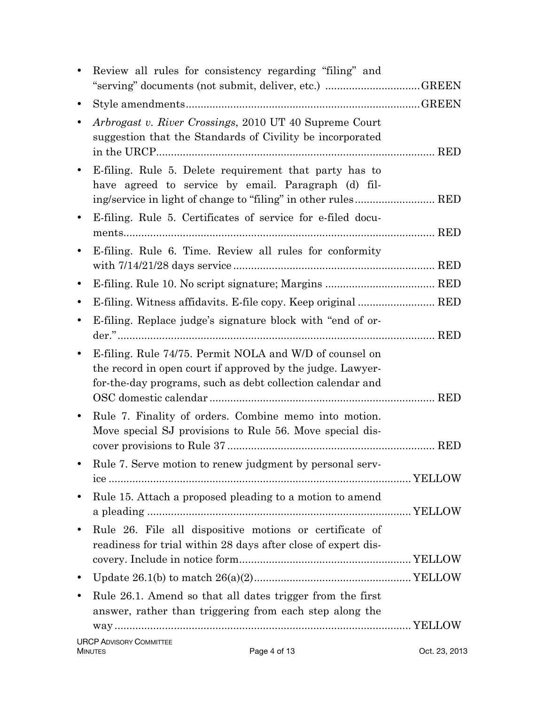|           | Review all rules for consistency regarding "filing" and                                                                                                                             |               |
|-----------|-------------------------------------------------------------------------------------------------------------------------------------------------------------------------------------|---------------|
|           | "serving" documents (not submit, deliver, etc.) GREEN                                                                                                                               |               |
| $\bullet$ |                                                                                                                                                                                     |               |
| ٠         | Arbrogast v. River Crossings, 2010 UT 40 Supreme Court<br>suggestion that the Standards of Civility be incorporated                                                                 |               |
| $\bullet$ | E-filing. Rule 5. Delete requirement that party has to<br>have agreed to service by email. Paragraph (d) fil-                                                                       |               |
| $\bullet$ | E-filing. Rule 5. Certificates of service for e-filed docu-                                                                                                                         |               |
|           | E-filing. Rule 6. Time. Review all rules for conformity                                                                                                                             |               |
| $\bullet$ |                                                                                                                                                                                     |               |
| ٠         | E-filing. Witness affidavits. E-file copy. Keep original  RED                                                                                                                       |               |
| $\bullet$ | E-filing. Replace judge's signature block with "end of or-                                                                                                                          |               |
| $\bullet$ | E-filing. Rule 74/75. Permit NOLA and W/D of counsel on<br>the record in open court if approved by the judge. Lawyer-<br>for-the-day programs, such as debt collection calendar and |               |
|           | Rule 7. Finality of orders. Combine memo into motion.<br>Move special SJ provisions to Rule 56. Move special dis-                                                                   | <b>RED</b>    |
|           | Rule 7. Serve motion to renew judgment by personal serv-                                                                                                                            |               |
| $\bullet$ | Rule 15. Attach a proposed pleading to a motion to amend                                                                                                                            |               |
| $\bullet$ | Rule 26. File all dispositive motions or certificate of<br>readiness for trial within 28 days after close of expert dis-                                                            |               |
| $\bullet$ |                                                                                                                                                                                     |               |
| $\bullet$ | Rule 26.1. Amend so that all dates trigger from the first<br>answer, rather than triggering from each step along the                                                                |               |
|           | <b>URCP ADVISORY COMMITTEE</b>                                                                                                                                                      |               |
|           | Page 4 of 13<br><b>MINUTES</b>                                                                                                                                                      | Oct. 23, 2013 |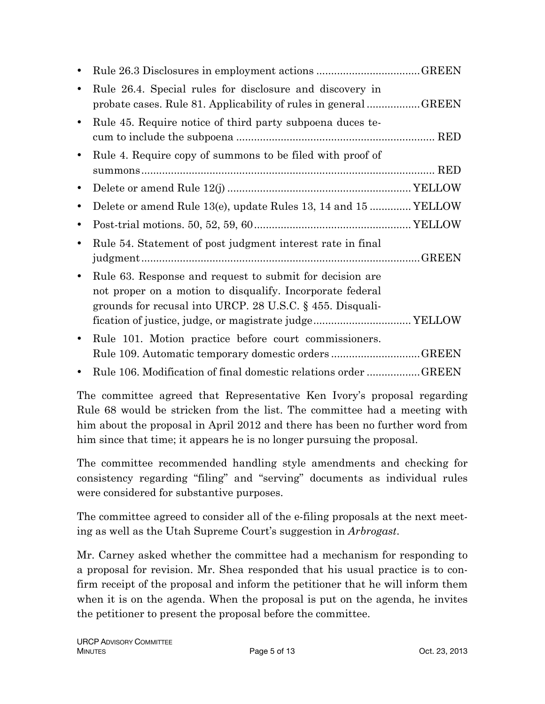| $\bullet$ |                                                                                                                                                                                                                                                 |
|-----------|-------------------------------------------------------------------------------------------------------------------------------------------------------------------------------------------------------------------------------------------------|
| $\bullet$ | Rule 26.4. Special rules for disclosure and discovery in<br>probate cases. Rule 81. Applicability of rules in general GREEN                                                                                                                     |
| $\bullet$ | Rule 45. Require notice of third party subpoena duces te-                                                                                                                                                                                       |
| $\bullet$ | Rule 4. Require copy of summons to be filed with proof of                                                                                                                                                                                       |
| $\bullet$ |                                                                                                                                                                                                                                                 |
| $\bullet$ | Delete or amend Rule 13(e), update Rules 13, 14 and 15  YELLOW                                                                                                                                                                                  |
| ٠         |                                                                                                                                                                                                                                                 |
| ٠         | Rule 54. Statement of post judgment interest rate in final                                                                                                                                                                                      |
| $\bullet$ | Rule 63. Response and request to submit for decision are<br>not proper on a motion to disqualify. Incorporate federal<br>grounds for recusal into URCP. 28 U.S.C. $\S$ 455. Disquali-<br>fication of justice, judge, or magistrate judge YELLOW |
| $\bullet$ | Rule 101. Motion practice before court commissioners.<br>Rule 109. Automatic temporary domestic ordersGREEN                                                                                                                                     |
|           | Rule 106. Modification of final domestic relations order GREEN                                                                                                                                                                                  |

The committee agreed that Representative Ken Ivory's proposal regarding Rule 68 would be stricken from the list. The committee had a meeting with him about the proposal in April 2012 and there has been no further word from him since that time; it appears he is no longer pursuing the proposal.

The committee recommended handling style amendments and checking for consistency regarding "filing" and "serving" documents as individual rules were considered for substantive purposes.

The committee agreed to consider all of the e-filing proposals at the next meeting as well as the Utah Supreme Court's suggestion in *Arbrogast*.

Mr. Carney asked whether the committee had a mechanism for responding to a proposal for revision. Mr. Shea responded that his usual practice is to confirm receipt of the proposal and inform the petitioner that he will inform them when it is on the agenda. When the proposal is put on the agenda, he invites the petitioner to present the proposal before the committee.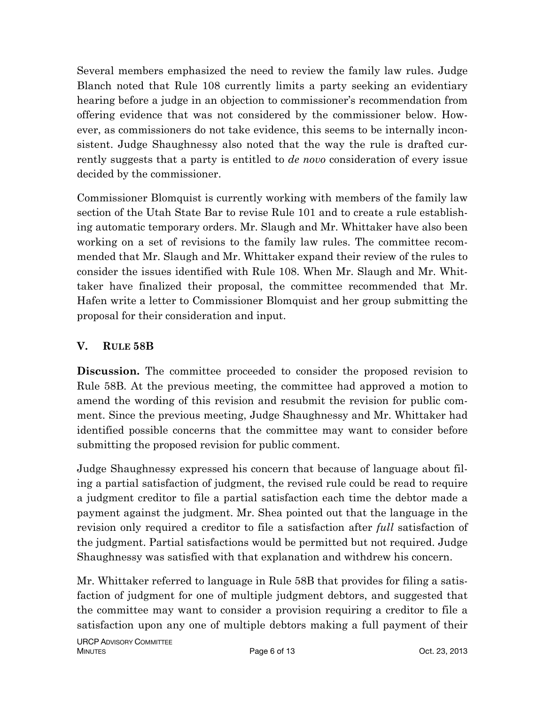Several members emphasized the need to review the family law rules. Judge Blanch noted that Rule 108 currently limits a party seeking an evidentiary hearing before a judge in an objection to commissioner's recommendation from offering evidence that was not considered by the commissioner below. However, as commissioners do not take evidence, this seems to be internally inconsistent. Judge Shaughnessy also noted that the way the rule is drafted currently suggests that a party is entitled to *de novo* consideration of every issue decided by the commissioner.

Commissioner Blomquist is currently working with members of the family law section of the Utah State Bar to revise Rule 101 and to create a rule establishing automatic temporary orders. Mr. Slaugh and Mr. Whittaker have also been working on a set of revisions to the family law rules. The committee recommended that Mr. Slaugh and Mr. Whittaker expand their review of the rules to consider the issues identified with Rule 108. When Mr. Slaugh and Mr. Whittaker have finalized their proposal, the committee recommended that Mr. Hafen write a letter to Commissioner Blomquist and her group submitting the proposal for their consideration and input.

## **V. RULE 58B**

**Discussion.** The committee proceeded to consider the proposed revision to Rule 58B. At the previous meeting, the committee had approved a motion to amend the wording of this revision and resubmit the revision for public comment. Since the previous meeting, Judge Shaughnessy and Mr. Whittaker had identified possible concerns that the committee may want to consider before submitting the proposed revision for public comment.

Judge Shaughnessy expressed his concern that because of language about filing a partial satisfaction of judgment, the revised rule could be read to require a judgment creditor to file a partial satisfaction each time the debtor made a payment against the judgment. Mr. Shea pointed out that the language in the revision only required a creditor to file a satisfaction after *full* satisfaction of the judgment. Partial satisfactions would be permitted but not required. Judge Shaughnessy was satisfied with that explanation and withdrew his concern.

Mr. Whittaker referred to language in Rule 58B that provides for filing a satisfaction of judgment for one of multiple judgment debtors, and suggested that the committee may want to consider a provision requiring a creditor to file a satisfaction upon any one of multiple debtors making a full payment of their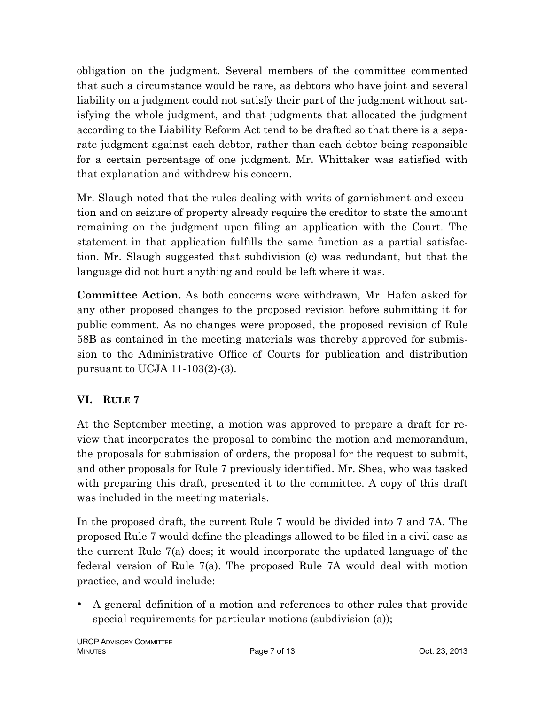obligation on the judgment. Several members of the committee commented that such a circumstance would be rare, as debtors who have joint and several liability on a judgment could not satisfy their part of the judgment without satisfying the whole judgment, and that judgments that allocated the judgment according to the Liability Reform Act tend to be drafted so that there is a separate judgment against each debtor, rather than each debtor being responsible for a certain percentage of one judgment. Mr. Whittaker was satisfied with that explanation and withdrew his concern.

Mr. Slaugh noted that the rules dealing with writs of garnishment and execution and on seizure of property already require the creditor to state the amount remaining on the judgment upon filing an application with the Court. The statement in that application fulfills the same function as a partial satisfaction. Mr. Slaugh suggested that subdivision (c) was redundant, but that the language did not hurt anything and could be left where it was.

**Committee Action.** As both concerns were withdrawn, Mr. Hafen asked for any other proposed changes to the proposed revision before submitting it for public comment. As no changes were proposed, the proposed revision of Rule 58B as contained in the meeting materials was thereby approved for submission to the Administrative Office of Courts for publication and distribution pursuant to UCJA 11-103(2)-(3).

# **VI. RULE 7**

At the September meeting, a motion was approved to prepare a draft for review that incorporates the proposal to combine the motion and memorandum, the proposals for submission of orders, the proposal for the request to submit, and other proposals for Rule 7 previously identified. Mr. Shea, who was tasked with preparing this draft, presented it to the committee. A copy of this draft was included in the meeting materials.

In the proposed draft, the current Rule 7 would be divided into 7 and 7A. The proposed Rule 7 would define the pleadings allowed to be filed in a civil case as the current Rule 7(a) does; it would incorporate the updated language of the federal version of Rule 7(a). The proposed Rule 7A would deal with motion practice, and would include:

• A general definition of a motion and references to other rules that provide special requirements for particular motions (subdivision (a));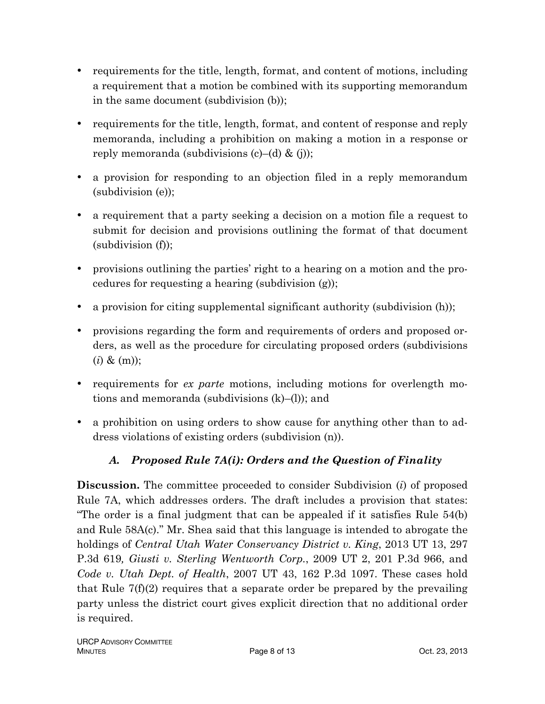- requirements for the title, length, format, and content of motions, including a requirement that a motion be combined with its supporting memorandum in the same document (subdivision (b));
- requirements for the title, length, format, and content of response and reply memoranda, including a prohibition on making a motion in a response or reply memoranda (subdivisions  $(c)$ –(d) & (j));
- a provision for responding to an objection filed in a reply memorandum (subdivision (e));
- a requirement that a party seeking a decision on a motion file a request to submit for decision and provisions outlining the format of that document (subdivision (f));
- provisions outlining the parties' right to a hearing on a motion and the procedures for requesting a hearing (subdivision (g));
- a provision for citing supplemental significant authority (subdivision (h));
- provisions regarding the form and requirements of orders and proposed orders, as well as the procedure for circulating proposed orders (subdivisions  $(i) \& (m)$ ;
- requirements for *ex parte* motions, including motions for overlength motions and memoranda (subdivisions (k)–(l)); and
- a prohibition on using orders to show cause for anything other than to address violations of existing orders (subdivision (n)).

# *A. Proposed Rule 7A(i): Orders and the Question of Finality*

**Discussion.** The committee proceeded to consider Subdivision (*i*) of proposed Rule 7A, which addresses orders. The draft includes a provision that states: "The order is a final judgment that can be appealed if it satisfies Rule 54(b) and Rule 58A(c)." Mr. Shea said that this language is intended to abrogate the holdings of *Central Utah Water Conservancy District v. King*, 2013 UT 13, 297 P.3d 619*, Giusti v. Sterling Wentworth Corp.*, 2009 UT 2, 201 P.3d 966, and *Code v. Utah Dept. of Health*, 2007 UT 43, 162 P.3d 1097. These cases hold that Rule 7(f)(2) requires that a separate order be prepared by the prevailing party unless the district court gives explicit direction that no additional order is required.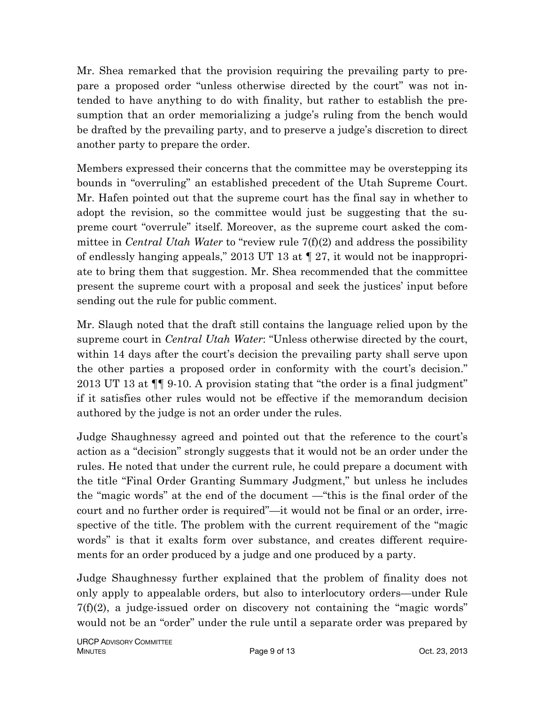Mr. Shea remarked that the provision requiring the prevailing party to prepare a proposed order "unless otherwise directed by the court" was not intended to have anything to do with finality, but rather to establish the presumption that an order memorializing a judge's ruling from the bench would be drafted by the prevailing party, and to preserve a judge's discretion to direct another party to prepare the order.

Members expressed their concerns that the committee may be overstepping its bounds in "overruling" an established precedent of the Utah Supreme Court. Mr. Hafen pointed out that the supreme court has the final say in whether to adopt the revision, so the committee would just be suggesting that the supreme court "overrule" itself. Moreover, as the supreme court asked the committee in *Central Utah Water* to "review rule 7(f)(2) and address the possibility of endlessly hanging appeals," 2013 UT 13 at ¶ 27, it would not be inappropriate to bring them that suggestion. Mr. Shea recommended that the committee present the supreme court with a proposal and seek the justices' input before sending out the rule for public comment.

Mr. Slaugh noted that the draft still contains the language relied upon by the supreme court in *Central Utah Water*: "Unless otherwise directed by the court, within 14 days after the court's decision the prevailing party shall serve upon the other parties a proposed order in conformity with the court's decision." 2013 UT 13 at ¶¶ 9-10. A provision stating that "the order is a final judgment" if it satisfies other rules would not be effective if the memorandum decision authored by the judge is not an order under the rules.

Judge Shaughnessy agreed and pointed out that the reference to the court's action as a "decision" strongly suggests that it would not be an order under the rules. He noted that under the current rule, he could prepare a document with the title "Final Order Granting Summary Judgment," but unless he includes the "magic words" at the end of the document —"this is the final order of the court and no further order is required"—it would not be final or an order, irrespective of the title. The problem with the current requirement of the "magic words" is that it exalts form over substance, and creates different requirements for an order produced by a judge and one produced by a party.

Judge Shaughnessy further explained that the problem of finality does not only apply to appealable orders, but also to interlocutory orders—under Rule  $7(f)(2)$ , a judge-issued order on discovery not containing the "magic words" would not be an "order" under the rule until a separate order was prepared by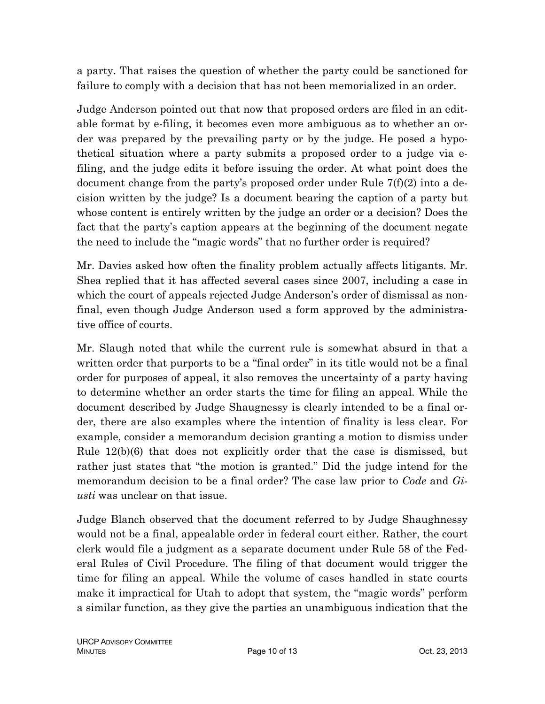a party. That raises the question of whether the party could be sanctioned for failure to comply with a decision that has not been memorialized in an order.

Judge Anderson pointed out that now that proposed orders are filed in an editable format by e-filing, it becomes even more ambiguous as to whether an order was prepared by the prevailing party or by the judge. He posed a hypothetical situation where a party submits a proposed order to a judge via efiling, and the judge edits it before issuing the order. At what point does the document change from the party's proposed order under Rule 7(f)(2) into a decision written by the judge? Is a document bearing the caption of a party but whose content is entirely written by the judge an order or a decision? Does the fact that the party's caption appears at the beginning of the document negate the need to include the "magic words" that no further order is required?

Mr. Davies asked how often the finality problem actually affects litigants. Mr. Shea replied that it has affected several cases since 2007, including a case in which the court of appeals rejected Judge Anderson's order of dismissal as nonfinal, even though Judge Anderson used a form approved by the administrative office of courts.

Mr. Slaugh noted that while the current rule is somewhat absurd in that a written order that purports to be a "final order" in its title would not be a final order for purposes of appeal, it also removes the uncertainty of a party having to determine whether an order starts the time for filing an appeal. While the document described by Judge Shaugnessy is clearly intended to be a final order, there are also examples where the intention of finality is less clear. For example, consider a memorandum decision granting a motion to dismiss under Rule 12(b)(6) that does not explicitly order that the case is dismissed, but rather just states that "the motion is granted." Did the judge intend for the memorandum decision to be a final order? The case law prior to *Code* and *Giusti* was unclear on that issue.

Judge Blanch observed that the document referred to by Judge Shaughnessy would not be a final, appealable order in federal court either. Rather, the court clerk would file a judgment as a separate document under Rule 58 of the Federal Rules of Civil Procedure. The filing of that document would trigger the time for filing an appeal. While the volume of cases handled in state courts make it impractical for Utah to adopt that system, the "magic words" perform a similar function, as they give the parties an unambiguous indication that the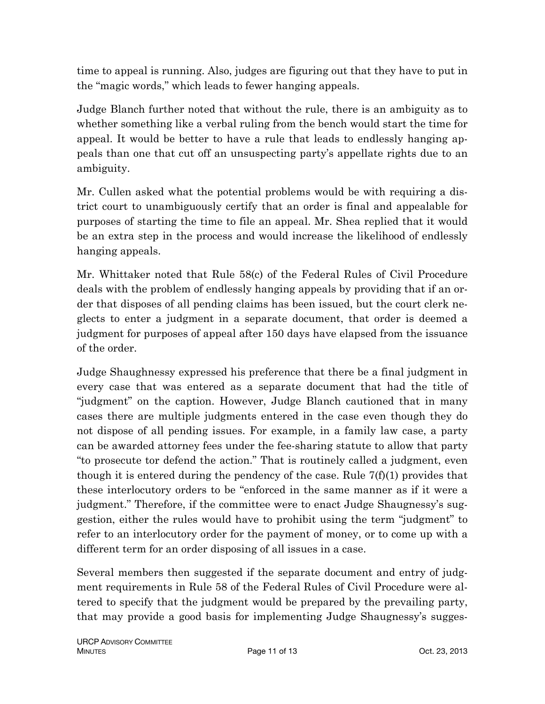time to appeal is running. Also, judges are figuring out that they have to put in the "magic words," which leads to fewer hanging appeals.

Judge Blanch further noted that without the rule, there is an ambiguity as to whether something like a verbal ruling from the bench would start the time for appeal. It would be better to have a rule that leads to endlessly hanging appeals than one that cut off an unsuspecting party's appellate rights due to an ambiguity.

Mr. Cullen asked what the potential problems would be with requiring a district court to unambiguously certify that an order is final and appealable for purposes of starting the time to file an appeal. Mr. Shea replied that it would be an extra step in the process and would increase the likelihood of endlessly hanging appeals.

Mr. Whittaker noted that Rule 58(c) of the Federal Rules of Civil Procedure deals with the problem of endlessly hanging appeals by providing that if an order that disposes of all pending claims has been issued, but the court clerk neglects to enter a judgment in a separate document, that order is deemed a judgment for purposes of appeal after 150 days have elapsed from the issuance of the order.

Judge Shaughnessy expressed his preference that there be a final judgment in every case that was entered as a separate document that had the title of "judgment" on the caption. However, Judge Blanch cautioned that in many cases there are multiple judgments entered in the case even though they do not dispose of all pending issues. For example, in a family law case, a party can be awarded attorney fees under the fee-sharing statute to allow that party "to prosecute tor defend the action." That is routinely called a judgment, even though it is entered during the pendency of the case. Rule  $7(f)(1)$  provides that these interlocutory orders to be "enforced in the same manner as if it were a judgment." Therefore, if the committee were to enact Judge Shaugnessy's suggestion, either the rules would have to prohibit using the term "judgment" to refer to an interlocutory order for the payment of money, or to come up with a different term for an order disposing of all issues in a case.

Several members then suggested if the separate document and entry of judgment requirements in Rule 58 of the Federal Rules of Civil Procedure were altered to specify that the judgment would be prepared by the prevailing party, that may provide a good basis for implementing Judge Shaugnessy's sugges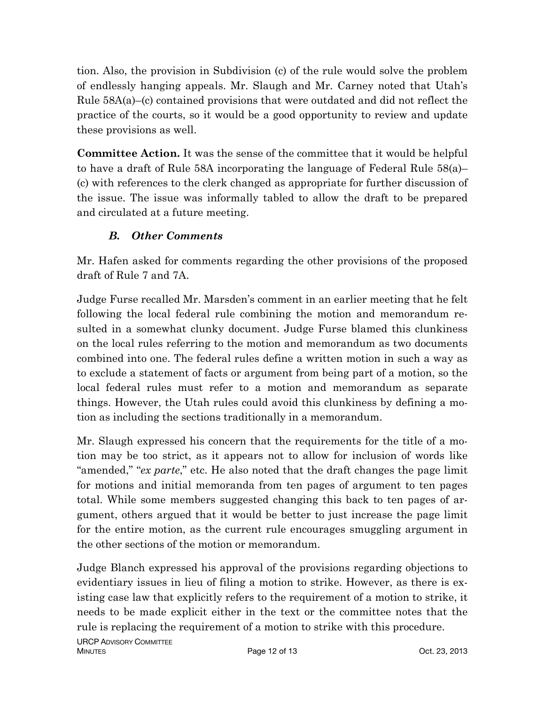tion. Also, the provision in Subdivision (c) of the rule would solve the problem of endlessly hanging appeals. Mr. Slaugh and Mr. Carney noted that Utah's Rule  $58A(a)$ –(c) contained provisions that were outdated and did not reflect the practice of the courts, so it would be a good opportunity to review and update these provisions as well.

**Committee Action.** It was the sense of the committee that it would be helpful to have a draft of Rule 58A incorporating the language of Federal Rule 58(a)– (c) with references to the clerk changed as appropriate for further discussion of the issue. The issue was informally tabled to allow the draft to be prepared and circulated at a future meeting.

# *B. Other Comments*

Mr. Hafen asked for comments regarding the other provisions of the proposed draft of Rule 7 and 7A.

Judge Furse recalled Mr. Marsden's comment in an earlier meeting that he felt following the local federal rule combining the motion and memorandum resulted in a somewhat clunky document. Judge Furse blamed this clunkiness on the local rules referring to the motion and memorandum as two documents combined into one. The federal rules define a written motion in such a way as to exclude a statement of facts or argument from being part of a motion, so the local federal rules must refer to a motion and memorandum as separate things. However, the Utah rules could avoid this clunkiness by defining a motion as including the sections traditionally in a memorandum.

Mr. Slaugh expressed his concern that the requirements for the title of a motion may be too strict, as it appears not to allow for inclusion of words like "amended," "*ex parte*," etc. He also noted that the draft changes the page limit for motions and initial memoranda from ten pages of argument to ten pages total. While some members suggested changing this back to ten pages of argument, others argued that it would be better to just increase the page limit for the entire motion, as the current rule encourages smuggling argument in the other sections of the motion or memorandum.

Judge Blanch expressed his approval of the provisions regarding objections to evidentiary issues in lieu of filing a motion to strike. However, as there is existing case law that explicitly refers to the requirement of a motion to strike, it needs to be made explicit either in the text or the committee notes that the rule is replacing the requirement of a motion to strike with this procedure.